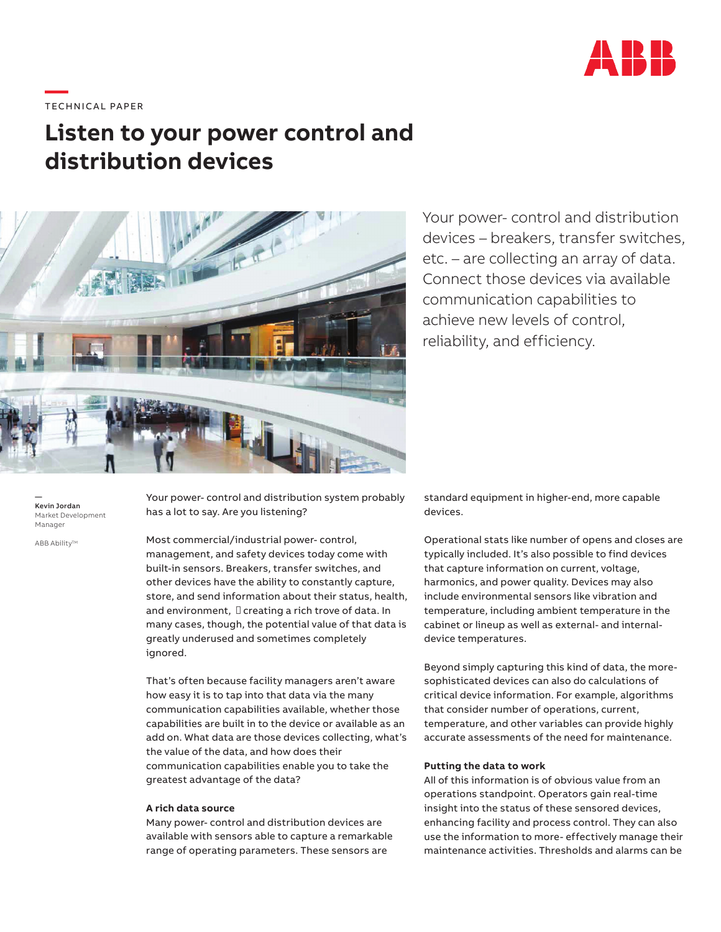

# ——<br>TECHNICAL PAPER

## **Listen to your power control and distribution devices**



Your power- control and distribution devices – breakers, transfer switches, etc. – are collecting an array of data. Connect those devices via available communication capabilities to achieve new levels of control, reliability, and efficiency.

— Kevin Jordan Market Development Manager

ABB Ability™

Your power- control and distribution system probably has a lot to say. Are you listening?

Most commercial/industrial power- control, management, and safety devices today come with built-in sensors. Breakers, transfer switches, and other devices have the ability to constantly capture, store, and send information about their status, health, and environment,  $\square$  creating a rich trove of data. In many cases, though, the potential value of that data is greatly underused and sometimes completely ignored.

That's often because facility managers aren't aware how easy it is to tap into that data via the many communication capabilities available, whether those capabilities are built in to the device or available as an add on. What data are those devices collecting, what's the value of the data, and how does their communication capabilities enable you to take the greatest advantage of the data?

#### **A rich data source**

Many power- control and distribution devices are available with sensors able to capture a remarkable range of operating parameters. These sensors are

standard equipment in higher-end, more capable devices.

Operational stats like number of opens and closes are typically included. It's also possible to find devices that capture information on current, voltage, harmonics, and power quality. Devices may also include environmental sensors like vibration and temperature, including ambient temperature in the cabinet or lineup as well as external- and internaldevice temperatures.

Beyond simply capturing this kind of data, the moresophisticated devices can also do calculations of critical device information. For example, algorithms that consider number of operations, current, temperature, and other variables can provide highly accurate assessments of the need for maintenance.

### **Putting the data to work**

All of this information is of obvious value from an operations standpoint. Operators gain real-time insight into the status of these sensored devices, enhancing facility and process control. They can also use the information to more- effectively manage their maintenance activities. Thresholds and alarms can be